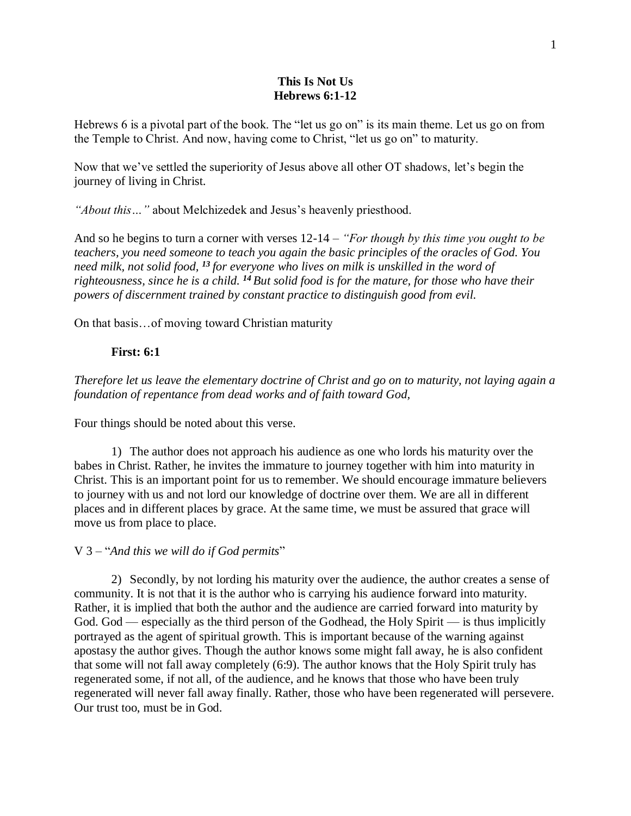#### **This Is Not Us Hebrews 6:1-12**

Hebrews 6 is a pivotal part of the book. The "let us go on" is its main theme. Let us go on from the Temple to Christ. And now, having come to Christ, "let us go on" to maturity.

Now that we've settled the superiority of Jesus above all other OT shadows, let's begin the journey of living in Christ.

*"About this…"* about Melchizedek and Jesus's heavenly priesthood.

And so he begins to turn a corner with verses 12-14 – *"For though by this time you ought to be teachers, you need someone to teach you again the basic principles of the oracles of God. You need milk, not solid food, <sup>13</sup> for everyone who lives on milk is unskilled in the word of righteousness, since he is a child. <sup>14</sup> But solid food is for the mature, for those who have their powers of discernment trained by constant practice to distinguish good from evil.*

On that basis…of moving toward Christian maturity

## **First: 6:1**

*Therefore let us leave the elementary doctrine of Christ and go on to maturity, not laying again a foundation of repentance from dead works and of faith toward God,*

Four things should be noted about this verse.

1) The author does not approach his audience as one who lords his maturity over the babes in Christ. Rather, he invites the immature to journey together with him into maturity in Christ. This is an important point for us to remember. We should encourage immature believers to journey with us and not lord our knowledge of doctrine over them. We are all in different places and in different places by grace. At the same time, we must be assured that grace will move us from place to place.

# V 3 – "*And this we will do if God permits*"

2) Secondly, by not lording his maturity over the audience, the author creates a sense of community. It is not that it is the author who is carrying his audience forward into maturity. Rather, it is implied that both the author and the audience are carried forward into maturity by God. God — especially as the third person of the Godhead, the Holy Spirit — is thus implicitly portrayed as the agent of spiritual growth. This is important because of the warning against apostasy the author gives. Though the author knows some might fall away, he is also confident that some will not fall away completely (6:9). The author knows that the Holy Spirit truly has regenerated some, if not all, of the audience, and he knows that those who have been truly regenerated will never fall away finally. Rather, those who have been regenerated will persevere. Our trust too, must be in God.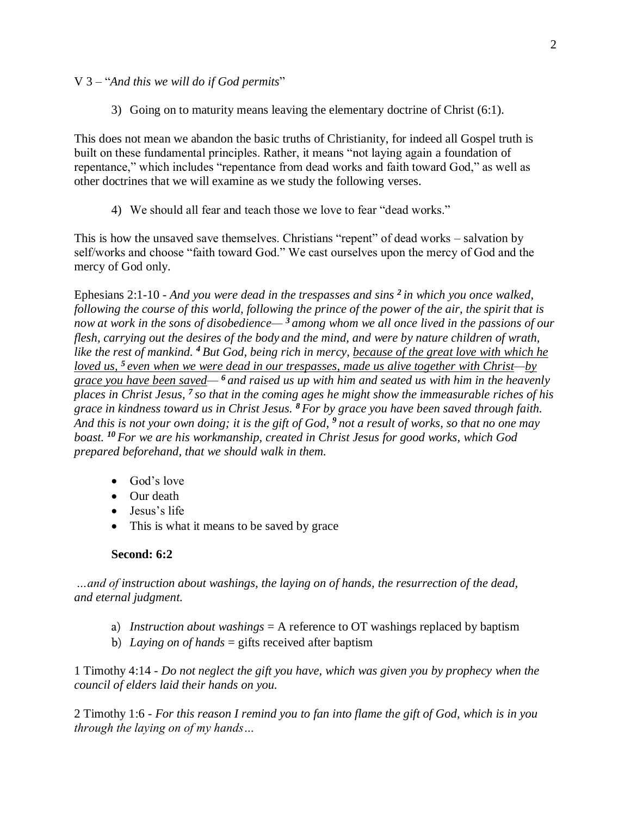V 3 – "*And this we will do if God permits*"

3) Going on to maturity means leaving the elementary doctrine of Christ (6:1).

This does not mean we abandon the basic truths of Christianity, for indeed all Gospel truth is built on these fundamental principles. Rather, it means "not laying again a foundation of repentance," which includes "repentance from dead works and faith toward God," as well as other doctrines that we will examine as we study the following verses.

4) We should all fear and teach those we love to fear "dead works."

This is how the unsaved save themselves. Christians "repent" of dead works – salvation by self/works and choose "faith toward God." We cast ourselves upon the mercy of God and the mercy of God only.

Ephesians 2:1-10 - *And you were dead in the trespasses and sins <sup>2</sup> in which you once walked, following the course of this world, following the prince of the power of the air, the spirit that is now at work in the sons of disobedience— <sup>3</sup> among whom we all once lived in the passions of our flesh, carrying out the desires of the body and the mind, and were by nature children of wrath, like the rest of mankind. <sup>4</sup> But God, being rich in mercy, because of the great love with which he loved us, <sup>5</sup> even when we were dead in our trespasses, made us alive together with Christ—by grace you have been saved— <sup>6</sup> and raised us up with him and seated us with him in the heavenly places in Christ Jesus, <sup>7</sup> so that in the coming ages he might show the immeasurable riches of his grace in kindness toward us in Christ Jesus. <sup>8</sup> For by grace you have been saved through faith. And this is not your own doing; it is the gift of God, <sup>9</sup> not a result of works, so that no one may boast. <sup>10</sup> For we are his workmanship, created in Christ Jesus for good works, which God prepared beforehand, that we should walk in them.*

- God's love
- Our death
- Jesus's life
- This is what it means to be saved by grace

### **Second: 6:2**

*…and of instruction about washings, the laying on of hands, the resurrection of the dead, and eternal judgment.*

- a) *Instruction about washings* = A reference to OT washings replaced by baptism
- b) *Laying on of hands* = gifts received after baptism

1 Timothy 4:14 - *Do not neglect the gift you have, which was given you by prophecy when the council of elders laid their hands on you.*

2 Timothy 1:6 - *For this reason I remind you to fan into flame the gift of God, which is in you through the laying on of my hands…*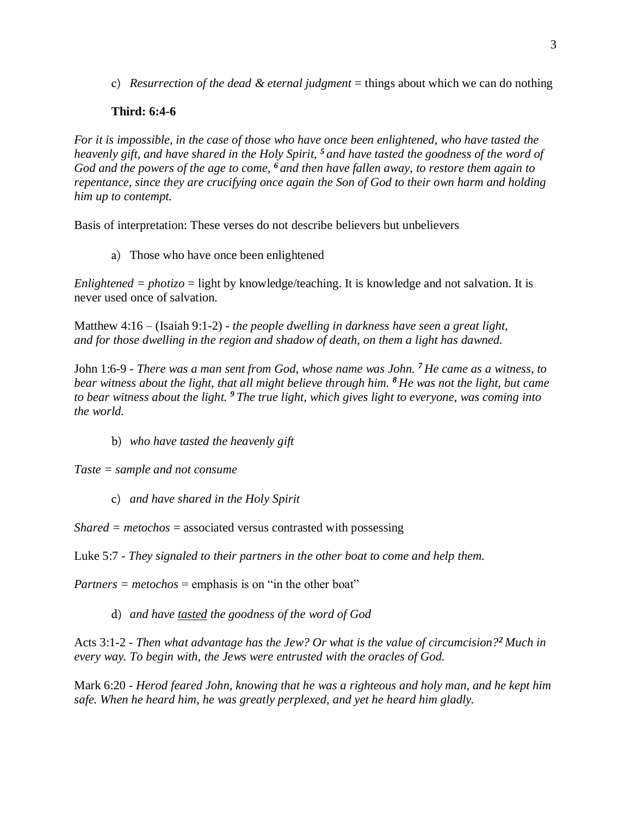c) *Resurrection of the dead & eternal judgment* = things about which we can do nothing

# **Third: 6:4-6**

*For it is impossible, in the case of those who have once been enlightened, who have tasted the heavenly gift, and have shared in the Holy Spirit, <sup>5</sup> and have tasted the goodness of the word of God and the powers of the age to come, <sup>6</sup> and then have fallen away, to restore them again to repentance, since they are crucifying once again the Son of God to their own harm and holding him up to contempt.*

Basis of interpretation: These verses do not describe believers but unbelievers

a) Those who have once been enlightened

*Enlightened = photizo* = light by knowledge/teaching. It is knowledge and not salvation. It is never used once of salvation.

Matthew 4:16 – (Isaiah 9:1-2) - *the people dwelling in darkness have seen a great light, and for those dwelling in the region and shadow of death, on them a light has dawned.*

John 1:6-9 - *There was a man sent from God, whose name was John. <sup>7</sup> He came as a witness, to bear witness about the light, that all might believe through him. <sup>8</sup> He was not the light, but came to bear witness about the light. <sup>9</sup> The true light, which gives light to everyone, was coming into the world.*

b) *who have tasted the heavenly gift*

*Taste = sample and not consume*

c) *and have shared in the Holy Spirit*

*Shared = metochos* = associated versus contrasted with possessing

Luke 5:7 - *They signaled to their partners in the other boat to come and help them.*

 $$ 

d) *and have tasted the goodness of the word of God*

Acts 3:1-2 - *Then what advantage has the Jew? Or what is the value of circumcision?<sup>2</sup> Much in every way. To begin with, the Jews were entrusted with the oracles of God.*

Mark 6:20 - *Herod feared John, knowing that he was a righteous and holy man, and he kept him safe. When he heard him, he was greatly perplexed, and yet he heard him gladly.*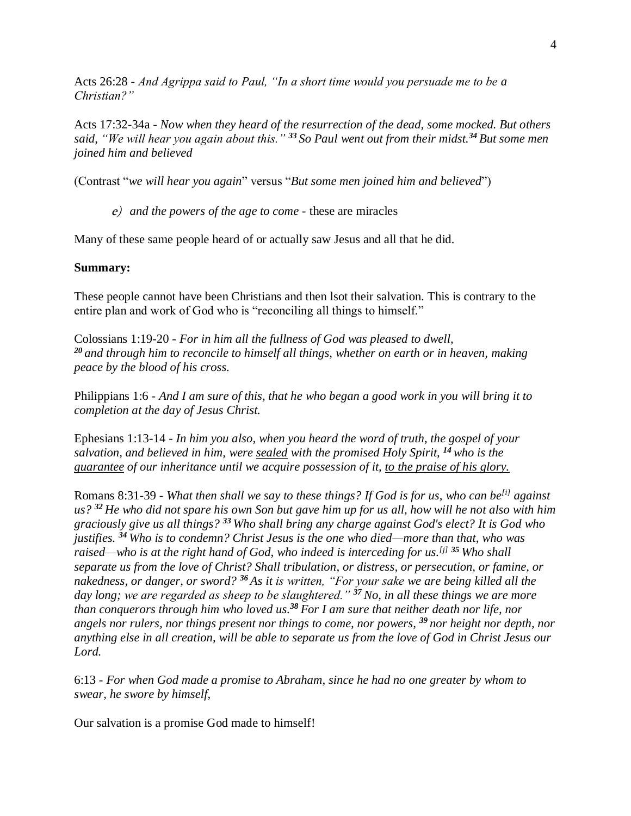Acts 26:28 - *And Agrippa said to Paul, "In a short time would you persuade me to be a Christian?"*

Acts 17:32-34a - *Now when they heard of the resurrection of the dead, some mocked. But others said, "We will hear you again about this." <sup>33</sup> So Paul went out from their midst.<sup>34</sup> But some men joined him and believed*

(Contrast "*we will hear you again*" versus "*But some men joined him and believed*")

e) *and the powers of the age to come -* these are miracles

Many of these same people heard of or actually saw Jesus and all that he did.

### **Summary:**

These people cannot have been Christians and then lsot their salvation. This is contrary to the entire plan and work of God who is "reconciling all things to himself."

Colossians 1:19-20 - *For in him all the fullness of God was pleased to dwell, <sup>20</sup> and through him to reconcile to himself all things, whether on earth or in heaven, making peace by the blood of his cross.*

Philippians 1:6 - *And I am sure of this, that he who began a good work in you will bring it to completion at the day of Jesus Christ.*

Ephesians 1:13-14 - *In him you also, when you heard the word of truth, the gospel of your salvation, and believed in him, were sealed with the promised Holy Spirit, <sup>14</sup> who is the guarantee of our inheritance until we acquire possession of it, to the praise of his glory.*

Romans 8:31-39 - *What then shall we say to these things? If God is for us, who can be[\[i\]](https://www.biblegateway.com/passage/?search=romans+8&version=ESV#fen-ESV-28132i) against us? <sup>32</sup> He who did not spare his own Son but gave him up for us all, how will he not also with him graciously give us all things? <sup>33</sup> Who shall bring any charge against God's elect? It is God who justifies. <sup>34</sup> Who is to condemn? Christ Jesus is the one who died—more than that, who was raised—who is at the right hand of God, who indeed is interceding for us.[\[j\]](https://www.biblegateway.com/passage/?search=romans+8&version=ESV#fen-ESV-28135j) <sup>35</sup> Who shall separate us from the love of Christ? Shall tribulation, or distress, or persecution, or famine, or nakedness, or danger, or sword? <sup>36</sup> As it is written, "For your sake we are being killed all the day long; we are regarded as sheep to be slaughtered." <sup>37</sup>No, in all these things we are more than conquerors through him who loved us.<sup>38</sup> For I am sure that neither death nor life, nor angels nor rulers, nor things present nor things to come, nor powers, <sup>39</sup> nor height nor depth, nor anything else in all creation, will be able to separate us from the love of God in Christ Jesus our Lord.*

6:13 - *For when God made a promise to Abraham, since he had no one greater by whom to swear, he swore by himself,*

Our salvation is a promise God made to himself!